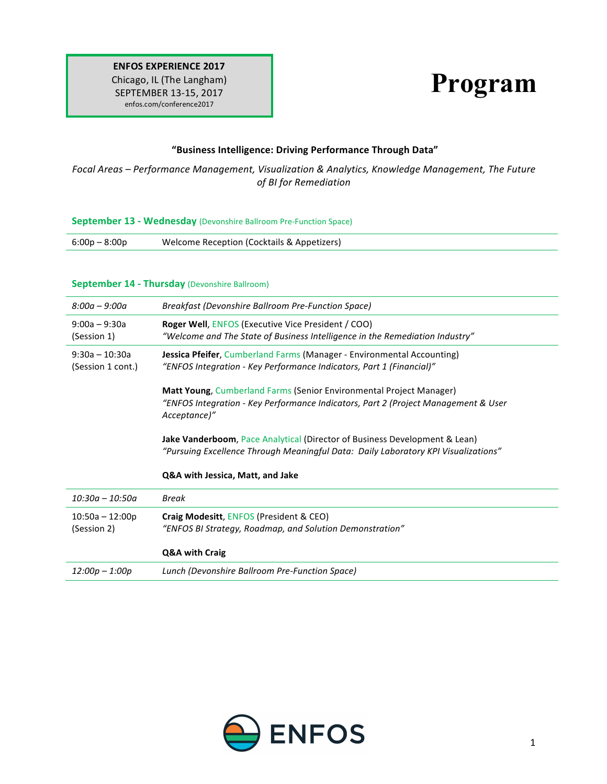# **Program**

#### **"Business Intelligence: Driving Performance Through Data"**

Focal Areas – Performance Management, Visualization & Analytics, Knowledge Management, The Future *of BI for Remediation*

#### **September 13 - Wednesday** (Devonshire Ballroom Pre-Function Space)

#### **September 14 - Thursday** (Devonshire Ballroom)

| $8:00a - 9:00a$                       | Breakfast (Devonshire Ballroom Pre-Function Space)                                                                                                                                                                                                                                                                                                                                       |
|---------------------------------------|------------------------------------------------------------------------------------------------------------------------------------------------------------------------------------------------------------------------------------------------------------------------------------------------------------------------------------------------------------------------------------------|
| $9:00a - 9:30a$<br>(Session 1)        | <b>Roger Well, ENFOS (Executive Vice President / COO)</b><br>"Welcome and The State of Business Intelligence in the Remediation Industry" $\,$                                                                                                                                                                                                                                           |
| $9:30a - 10:30a$<br>(Session 1 cont.) | Jessica Pfeifer, Cumberland Farms (Manager - Environmental Accounting)<br>"ENFOS Integration - Key Performance Indicators, Part 1 (Financial)"                                                                                                                                                                                                                                           |
|                                       | <b>Matt Young, Cumberland Farms (Senior Environmental Project Manager)</b><br>"ENFOS Integration - Key Performance Indicators, Part 2 (Project Management & User<br>Acceptance)"<br>Jake Vanderboom, Pace Analytical (Director of Business Development & Lean)<br>"Pursuing Excellence Through Meaningful Data: Daily Laboratory KPI Visualizations"<br>Q&A with Jessica, Matt, and Jake |
|                                       |                                                                                                                                                                                                                                                                                                                                                                                          |
| $10:30a - 10:50a$                     | Break                                                                                                                                                                                                                                                                                                                                                                                    |
| $10:50a - 12:00p$<br>(Session 2)      | Craig Modesitt, ENFOS (President & CEO)<br>"ENFOS BI Strategy, Roadmap, and Solution Demonstration"                                                                                                                                                                                                                                                                                      |
|                                       | Q&A with Craig                                                                                                                                                                                                                                                                                                                                                                           |
| $12:00p - 1:00p$                      | Lunch (Devonshire Ballroom Pre-Function Space)                                                                                                                                                                                                                                                                                                                                           |

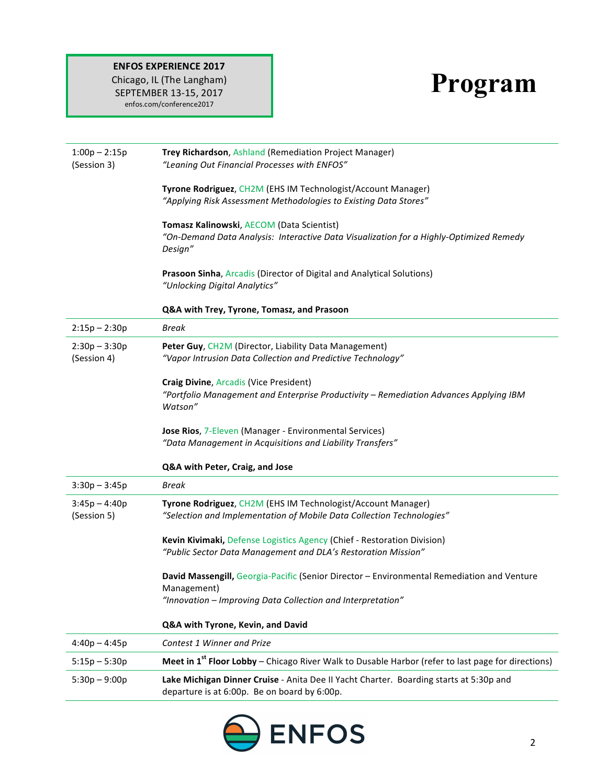## **ENFOS EXPERIENCE 2017**

Chicago, IL (The Langham) SEPTEMBER 13-15, 2017 enfos.com/conference2017

# **Program**

| $1:00p - 2:15p$<br>(Session 3) | Trey Richardson, Ashland (Remediation Project Manager)<br>"Leaning Out Financial Processes with ENFOS"                                                                   |
|--------------------------------|--------------------------------------------------------------------------------------------------------------------------------------------------------------------------|
|                                | Tyrone Rodriguez, CH2M (EHS IM Technologist/Account Manager)<br>"Applying Risk Assessment Methodologies to Existing Data Stores"                                         |
|                                | Tomasz Kalinowski, AECOM (Data Scientist)<br>"On-Demand Data Analysis: Interactive Data Visualization for a Highly-Optimized Remedy<br>Design"                           |
|                                | Prasoon Sinha, Arcadis (Director of Digital and Analytical Solutions)<br>"Unlocking Digital Analytics"                                                                   |
|                                | Q&A with Trey, Tyrone, Tomasz, and Prasoon                                                                                                                               |
| $2:15p - 2:30p$                | <b>Break</b>                                                                                                                                                             |
| $2:30p - 3:30p$<br>(Session 4) | Peter Guy, CH2M (Director, Liability Data Management)<br>"Vapor Intrusion Data Collection and Predictive Technology"                                                     |
|                                | <b>Craig Divine, Arcadis (Vice President)</b><br>"Portfolio Management and Enterprise Productivity - Remediation Advances Applying IBM<br>Watson"                        |
|                                | Jose Rios, 7-Eleven (Manager - Environmental Services)<br>"Data Management in Acquisitions and Liability Transfers"                                                      |
|                                | Q&A with Peter, Craig, and Jose                                                                                                                                          |
| $3:30p - 3:45p$                | <b>Break</b>                                                                                                                                                             |
| $3:45p - 4:40p$<br>(Session 5) | Tyrone Rodriguez, CH2M (EHS IM Technologist/Account Manager)<br>"Selection and Implementation of Mobile Data Collection Technologies"                                    |
|                                | Kevin Kivimaki, Defense Logistics Agency (Chief - Restoration Division)<br>"Public Sector Data Management and DLA's Restoration Mission"                                 |
|                                | David Massengill, Georgia-Pacific (Senior Director - Environmental Remediation and Venture<br>Management)<br>"Innovation - Improving Data Collection and Interpretation" |
|                                | Q&A with Tyrone, Kevin, and David                                                                                                                                        |
| $4:40p - 4:45p$                | Contest 1 Winner and Prize                                                                                                                                               |
| $5:15p - 5:30p$                | Meet in $1st$ Floor Lobby – Chicago River Walk to Dusable Harbor (refer to last page for directions)                                                                     |
| $5:30p - 9:00p$                | Lake Michigan Dinner Cruise - Anita Dee II Yacht Charter. Boarding starts at 5:30p and<br>departure is at 6:00p. Be on board by 6:00p.                                   |

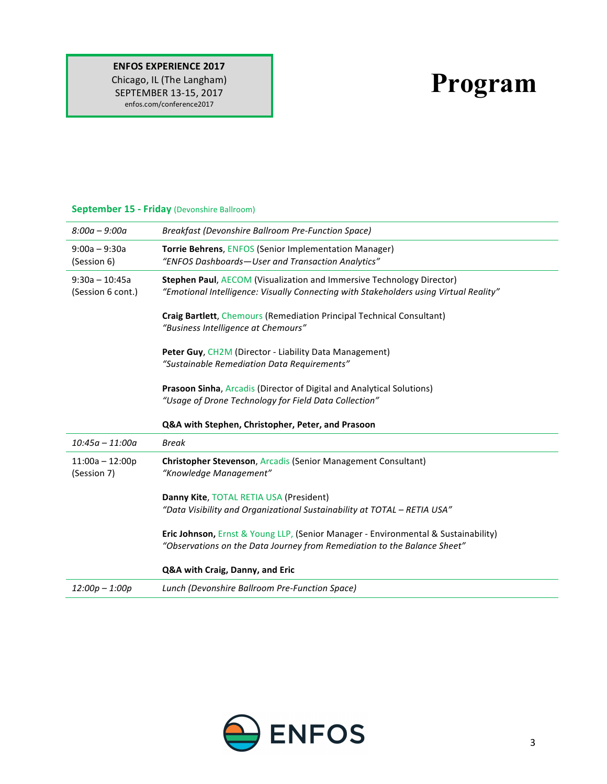#### **ENFOS EXPERIENCE 2017** Chicago, IL (The Langham) SEPTEMBER 13-15, 2017 enfos.com/conference2017

# **Program**

| $8:00a - 9:00a$                       | Breakfast (Devonshire Ballroom Pre-Function Space)                                                                                                             |
|---------------------------------------|----------------------------------------------------------------------------------------------------------------------------------------------------------------|
| $9:00a - 9:30a$<br>(Session 6)        | Torrie Behrens, ENFOS (Senior Implementation Manager)<br>"ENFOS Dashboards-User and Transaction Analytics"                                                     |
| $9:30a - 10:45a$<br>(Session 6 cont.) | Stephen Paul, AECOM (Visualization and Immersive Technology Director)<br>"Emotional Intelligence: Visually Connecting with Stakeholders using Virtual Reality" |
|                                       | <b>Craig Bartlett, Chemours (Remediation Principal Technical Consultant)</b><br>"Business Intelligence at Chemours"                                            |
|                                       | Peter Guy, CH2M (Director - Liability Data Management)<br>"Sustainable Remediation Data Requirements"                                                          |
|                                       | <b>Prasoon Sinha, Arcadis (Director of Digital and Analytical Solutions)</b><br>"Usage of Drone Technology for Field Data Collection"                          |
|                                       | Q&A with Stephen, Christopher, Peter, and Prasoon                                                                                                              |
|                                       |                                                                                                                                                                |
| $10:45a - 11:00a$                     | <b>Break</b>                                                                                                                                                   |
| $11:00a - 12:00p$<br>(Session 7)      | <b>Christopher Stevenson, Arcadis (Senior Management Consultant)</b><br>"Knowledge Management"                                                                 |
|                                       | Danny Kite, TOTAL RETIA USA (President)<br>"Data Visibility and Organizational Sustainability at TOTAL - RETIA USA"                                            |
|                                       | Eric Johnson, Ernst & Young LLP, (Senior Manager - Environmental & Sustainability)<br>"Observations on the Data Journey from Remediation to the Balance Sheet" |
|                                       | Q&A with Craig, Danny, and Eric                                                                                                                                |
| $12:00p - 1:00p$                      | Lunch (Devonshire Ballroom Pre-Function Space)                                                                                                                 |

### **September 15 - Friday** (Devonshire Ballroom)